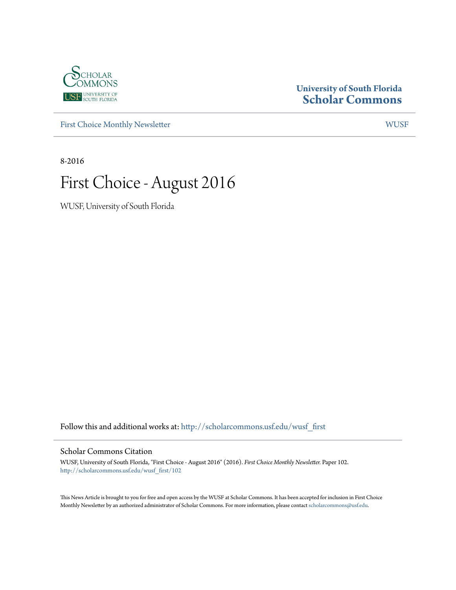

#### **University of South Florida [Scholar Commons](http://scholarcommons.usf.edu?utm_source=scholarcommons.usf.edu%2Fwusf_first%2F102&utm_medium=PDF&utm_campaign=PDFCoverPages)**

[First Choice Monthly Newsletter](http://scholarcommons.usf.edu/wusf_first?utm_source=scholarcommons.usf.edu%2Fwusf_first%2F102&utm_medium=PDF&utm_campaign=PDFCoverPages) [WUSF](http://scholarcommons.usf.edu/wusf?utm_source=scholarcommons.usf.edu%2Fwusf_first%2F102&utm_medium=PDF&utm_campaign=PDFCoverPages)

8-2016

# First Choice - August 2016

WUSF, University of South Florida

Follow this and additional works at: [http://scholarcommons.usf.edu/wusf\\_first](http://scholarcommons.usf.edu/wusf_first?utm_source=scholarcommons.usf.edu%2Fwusf_first%2F102&utm_medium=PDF&utm_campaign=PDFCoverPages)

#### Scholar Commons Citation

WUSF, University of South Florida, "First Choice - August 2016" (2016). *First Choice Monthly Newsletter.* Paper 102. [http://scholarcommons.usf.edu/wusf\\_first/102](http://scholarcommons.usf.edu/wusf_first/102?utm_source=scholarcommons.usf.edu%2Fwusf_first%2F102&utm_medium=PDF&utm_campaign=PDFCoverPages)

This News Article is brought to you for free and open access by the WUSF at Scholar Commons. It has been accepted for inclusion in First Choice Monthly Newsletter by an authorized administrator of Scholar Commons. For more information, please contact [scholarcommons@usf.edu.](mailto:scholarcommons@usf.edu)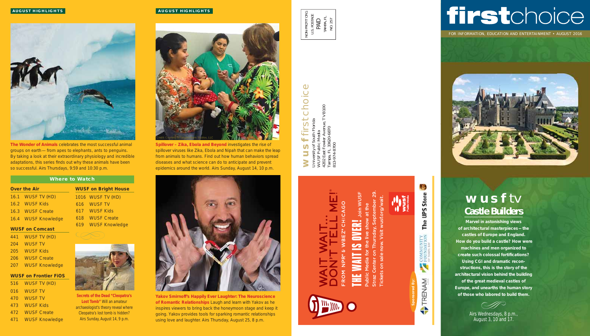

**The Wonder of Animals** celebrates the most successful animal groups on earth — from apes to elephants, ants to penguins. By taking a look at their extraordinary physiology and incredible adaptations, this series finds out why these animals have been so successful. Airs Thursdays, 9:59 and 10:30 p.m.

FOR INFORMATION, EDUCATION AND ENTERTAINMENT • AUGUST 2016



## **wusf** tv **Castle Builders**

airs Wednesdays, 8 p.m., August 3, 10 and 17.

**Marvel in astonishing views of architectural masterpieces — the castles of Europe and England. How do you build a castle? How were machines and men organized to**  create such colossal fortifications? **Using CGI and dramatic reconstructions, this is the story of the architectural vision behind the building of the great medieval castles of Europe, and unearths the human story of those who labored to build them.** 

# choice first choice  $\ddot{}$ Florida  $\alpha$ **wusf**

mue, TVB100 4202 East Fowler Avenue, TVB100 University of South Florida Tampa, FL 33620-6870 WUSF Public Media 813-974-8700

#### **AUGUST HIGHLIGHTS**

**Spillover – Zika, Ebola and Beyond** investigates the rise of spillover viruses like Zika, Ebola and Nipah that can make the leap from animals to humans. Find out how human behaviors spread diseases and what science can do to anticipate and prevent epidemics around the world. Airs Sunday, August 14, 10 p.m.



# THE WAIT IS OVER! Join WUSF **ROM**

w TRENAM **Sponsored By:**

# ら Store **San** The COMMUNITY<br>FOUNDATION

**VUST** 

# firstchoice

| <b>Where to Watch</b>  |                     |     |                             |  |
|------------------------|---------------------|-----|-----------------------------|--|
|                        | <b>Over the Air</b> |     | <b>WUSF on Bright House</b> |  |
|                        | 16.1 WUSF TV (HD)   |     | 1016 WUSF TV (HD)           |  |
|                        | 16.2 WUSF Kids      |     | 616 WUSF TV                 |  |
|                        | 16.3 WUSF Create    |     | 617 WUSF Kids               |  |
|                        | 16.4 WUSF Knowledge | 618 | <b>WUSF Create</b>          |  |
| <b>WUSF on Comcast</b> |                     |     | 619 WUSF Knowledge          |  |
|                        | 441 WUSF TV (HD)    |     |                             |  |
|                        |                     |     |                             |  |

**Yakov Smirnoff's Happily Ever Laughter: The Neuroscience of Romantic Relationships** Laugh and learn with Yakov as he inspires viewers to bring back the honeymoon stage and keep it going. Yakov provides tools for sparking romantic relationships using love and laughter. Airs Thursday, August 25, 8 p.m.

NON-PROFIT ORG. ON-PROFIT ORG U.S. POSTAGE TAMPA, FL PAID  $\dot{S}$ 

- 441 WUSF TV (HD)
- 204 WUSF TV
- 205 WUSF Kids
- 206 WUSF Create
- 207 WUSF Knowledge

#### **WUSF on Frontier FiOS**

- 516 WUSF TV (HD) 016 WUSF TV 470 WUSF TV
- 473 WUSF Kids
- 472 WUSF Create
- 471 WUSF Knowledge

*Secrets of the Dead "Cleopatra's Lost Tomb"* Will an amateur archaeologist's theory reveal where Cleopatra's lost tomb is hidden? Airs Sunday, August 14, 9 p.m.



Straz Center on Thursday, September 29. Tickets on sale now. Visit wusf.org/wait.